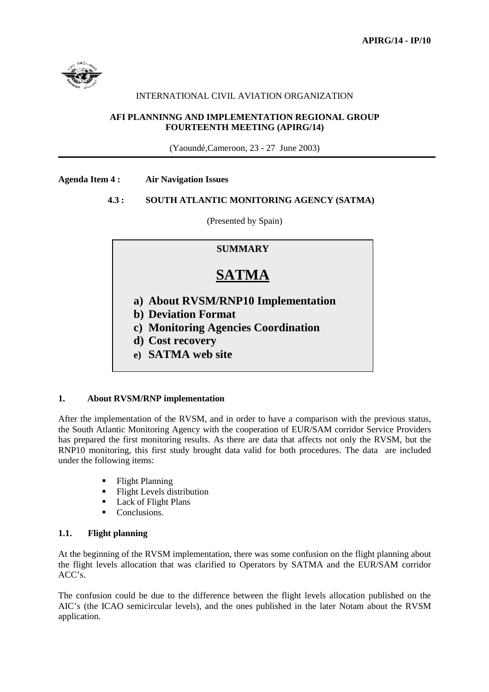

# INTERNATIONAL CIVIL AVIATION ORGANIZATION

## **AFI PLANNINNG AND IMPLEMENTATION REGIONAL GROUP FOURTEENTH MEETING (APIRG/14)**

(Yaoundé,Cameroon, 23 - 27 June 2003)

**Agenda Item 4 : Air Navigation Issues** 

# **4.3 : SOUTH ATLANTIC MONITORING AGENCY (SATMA)**

(Presented by Spain)

# **SUMMARY**

# **SATMA**

- **a) About RVSM/RNP10 Implementation**
- **b) Deviation Format**
- **c) Monitoring Agencies Coordination**
- **d) Cost recovery**
- **e) SATMA web site**

## **1. About RVSM/RNP implementation**

After the implementation of the RVSM, and in order to have a comparison with the previous status, the South Atlantic Monitoring Agency with the cooperation of EUR/SAM corridor Service Providers has prepared the first monitoring results. As there are data that affects not only the RVSM, but the RNP10 monitoring, this first study brought data valid for both procedures. The data are included under the following items:

- -Flight Planning
- -Flight Levels distribution
- -Lack of Flight Plans
- -Conclusions.

# **1.1. Flight planning**

At the beginning of the RVSM implementation, there was some confusion on the flight planning about the flight levels allocation that was clarified to Operators by SATMA and the EUR/SAM corridor ACC's.

The confusion could be due to the difference between the flight levels allocation published on the AIC's (the ICAO semicircular levels), and the ones published in the later Notam about the RVSM application.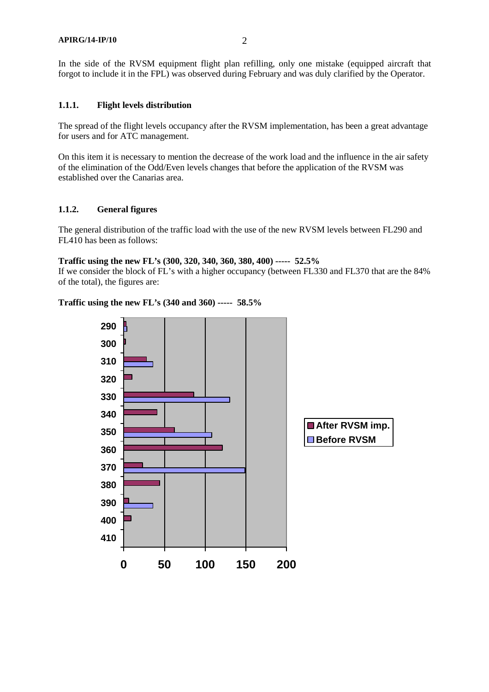In the side of the RVSM equipment flight plan refilling, only one mistake (equipped aircraft that forgot to include it in the FPL) was observed during February and was duly clarified by the Operator.

# **1.1.1. Flight levels distribution**

The spread of the flight levels occupancy after the RVSM implementation, has been a great advantage for users and for ATC management.

On this item it is necessary to mention the decrease of the work load and the influence in the air safety of the elimination of the Odd/Even levels changes that before the application of the RVSM was established over the Canarias area.

# **1.1.2. General figures**

The general distribution of the traffic load with the use of the new RVSM levels between FL290 and FL410 has been as follows:

#### **Traffic using the new FL's (300, 320, 340, 360, 380, 400) ----- 52.5%**

If we consider the block of FL's with a higher occupancy (between FL330 and FL370 that are the 84% of the total), the figures are:

## **Traffic using the new FL's (340 and 360) ----- 58.5%**

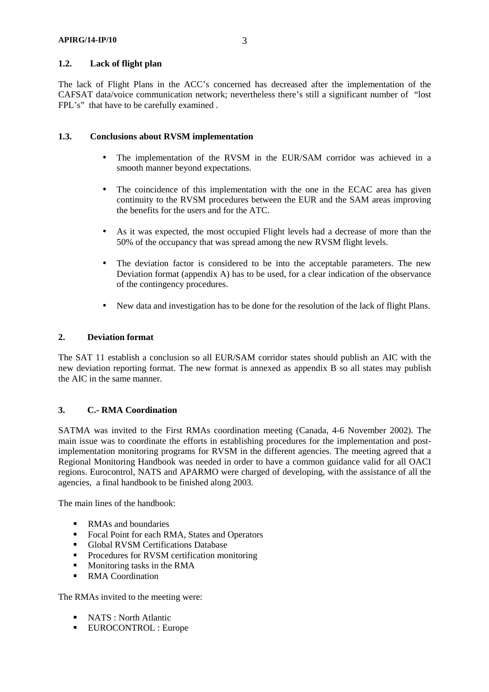# **1.2. Lack of flight plan**

The lack of Flight Plans in the ACC's concerned has decreased after the implementation of the CAFSAT data/voice communication network; nevertheless there's still a significant number of "lost FPL's" that have to be carefully examined.

## **1.3. Conclusions about RVSM implementation**

- The implementation of the RVSM in the EUR/SAM corridor was achieved in a smooth manner beyond expectations.
- The coincidence of this implementation with the one in the ECAC area has given continuity to the RVSM procedures between the EUR and the SAM areas improving the benefits for the users and for the ATC.
- As it was expected, the most occupied Flight levels had a decrease of more than the 50% of the occupancy that was spread among the new RVSM flight levels.
- The deviation factor is considered to be into the acceptable parameters. The new Deviation format (appendix A) has to be used, for a clear indication of the observance of the contingency procedures.
- New data and investigation has to be done for the resolution of the lack of flight Plans.

#### **2. Deviation format**

The SAT 11 establish a conclusion so all EUR/SAM corridor states should publish an AIC with the new deviation reporting format. The new format is annexed as appendix B so all states may publish the AIC in the same manner.

## **3. C.- RMA Coordination**

SATMA was invited to the First RMAs coordination meeting (Canada, 4-6 November 2002). The main issue was to coordinate the efforts in establishing procedures for the implementation and postimplementation monitoring programs for RVSM in the different agencies. The meeting agreed that a Regional Monitoring Handbook was needed in order to have a common guidance valid for all OACI regions. Eurocontrol, NATS and APARMO were charged of developing, with the assistance of all the agencies, a final handbook to be finished along 2003.

The main lines of the handbook:

- **RMAs** and boundaries
- **Focal Point for each RMA, States and Operators**
- **-** Global RVSM Certifications Database
- **•** Procedures for RVSM certification monitoring
- Monitoring tasks in the RMA
- RMA Coordination

The RMAs invited to the meeting were:

- NATS : North Atlantic
- EUROCONTROL : Europe